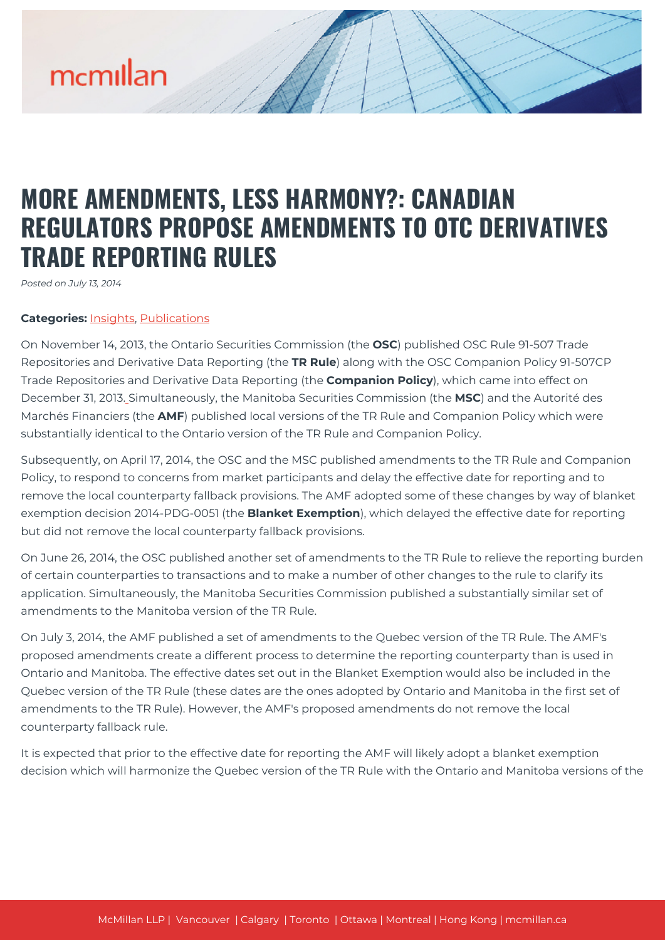## **MORE AMENDMENTS, LESS HARMONY?: CANADIAN REGULATORS PROPOSE AMENDMENTS TO OTC DERIVATIVES TRADE REPORTING RULES**

*Posted on July 13, 2014*

### **Categories:** [Insights,](https://mcmillan.ca/insights/) [Publications](https://mcmillan.ca/insights/publications/)

On November 14, 2013, the Ontario Securities Commission (the **OSC**) published OSC Rule 91-507 Trade Repositories and Derivative Data Reporting (the **TR Rule**) along with the OSC Companion Policy 91-507CP Trade Repositories and Derivative Data Reporting (the **Companion Policy**), which came into effect on December 31, 2013[.](#page--1-0) Simultaneously, the Manitoba Securities Commission (the **MSC**) and the Autorité des Marchés Financiers (the **AMF**) published local versions of the TR Rule and Companion Policy which were substantially identical to the Ontario version of the TR Rule and Companion Policy.

Subsequently, on April 17, 2014, the OSC and the MSC published amendments to the TR Rule and Companion Policy, to respond to concerns from market participants and delay the effective date for reporting and to remove the local counterparty fallback provisions. The AMF adopted some of these changes by way of blanket exemption decision 2014-PDG-0051 (the **Blanket Exemption**), which delayed the effective date for reporting but did not remove the local counterparty fallback provisions.

On June 26, 2014, the OSC published another set of amendments to the TR Rule to relieve the reporting burden of certain counterparties to transactions and to make a number of other changes to the rule to clarify its application. Simultaneously, the Manitoba Securities Commission published a substantially similar set of amendments to the Manitoba version of the TR Rule.

On July 3, 2014, the AMF published a set of amendments to the Quebec version of the TR Rule. The AMF's proposed amendments create a different process to determine the reporting counterparty than is used in Ontario and Manitoba. The effective dates set out in the Blanket Exemption would also be included in the Quebec version of the TR Rule (these dates are the ones adopted by Ontario and Manitoba in the first set of amendments to the TR Rule). However, the AMF's proposed amendments do not remove the local counterparty fallback rule.

It is expected that prior to the effective date for reporting the AMF will likely adopt a blanket exemption decision which will harmonize the Quebec version of the TR Rule with the Ontario and Manitoba versions of the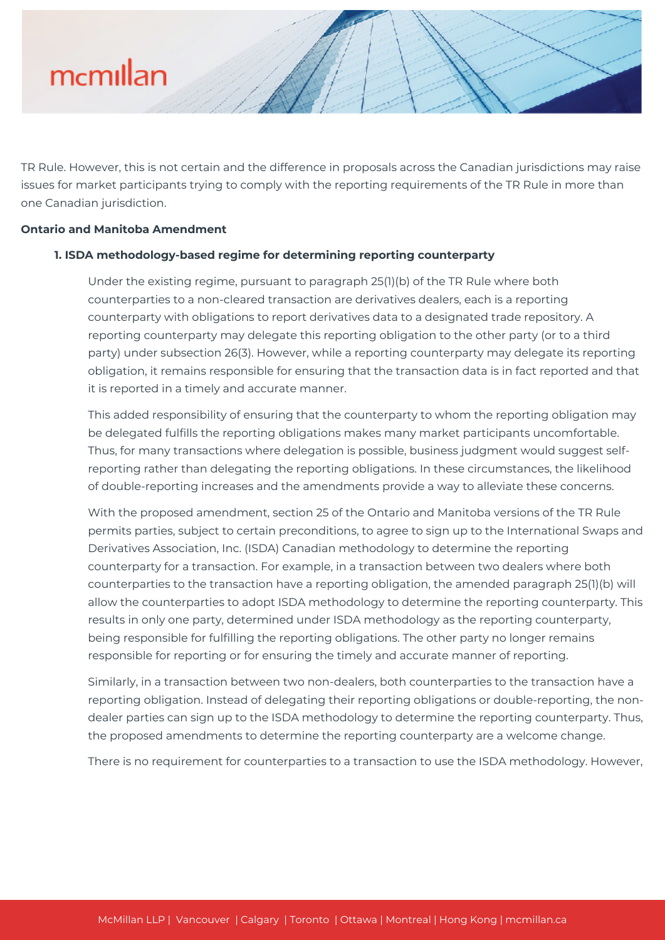TR Rule. However, this is not certain and the difference in proposals across the Canadian jurisdictions may raise issues for market participants trying to comply with the reporting requirements of the TR Rule in more than one Canadian jurisdiction.

#### **Ontario and Manitoba Amendment**

### **1. ISDA methodology-based regime for determining reporting counterparty**

Under the existing regime, pursuant to paragraph 25(1)(b) of the TR Rule where both counterparties to a non-cleared transaction are derivatives dealers, each is a reporting counterparty with obligations to report derivatives data to a designated trade repository. A reporting counterparty may delegate this reporting obligation to the other party (or to a third party) under subsection 26(3). However, while a reporting counterparty may delegate its reporting obligation, it remains responsible for ensuring that the transaction data is in fact reported and that it is reported in a timely and accurate manner.

This added responsibility of ensuring that the counterparty to whom the reporting obligation may be delegated fulfills the reporting obligations makes many market participants uncomfortable. Thus, for many transactions where delegation is possible, business judgment would suggest selfreporting rather than delegating the reporting obligations. In these circumstances, the likelihood of double-reporting increases and the amendments provide a way to alleviate these concerns.

With the proposed amendment, section 25 of the Ontario and Manitoba versions of the TR Rule permits parties, subject to certain preconditions, to agree to sign up to the International Swaps and Derivatives Association, Inc. (ISDA) Canadian methodology to determine the reporting counterparty for a transaction. For example, in a transaction between two dealers where both counterparties to the transaction have a reporting obligation, the amended paragraph 25(1)(b) will allow the counterparties to adopt ISDA methodology to determine the reporting counterparty. This results in only one party, determined under ISDA methodology as the reporting counterparty, being responsible for fulfilling the reporting obligations. The other party no longer remains responsible for reporting or for ensuring the timely and accurate manner of reporting.

Similarly, in a transaction between two non-dealers, both counterparties to the transaction have a reporting obligation. Instead of delegating their reporting obligations or double-reporting, the nondealer parties can sign up to the ISDA methodology to determine the reporting counterparty. Thus, the proposed amendments to determine the reporting counterparty are a welcome change.

There is no requirement for counterparties to a transaction to use the ISDA methodology. However,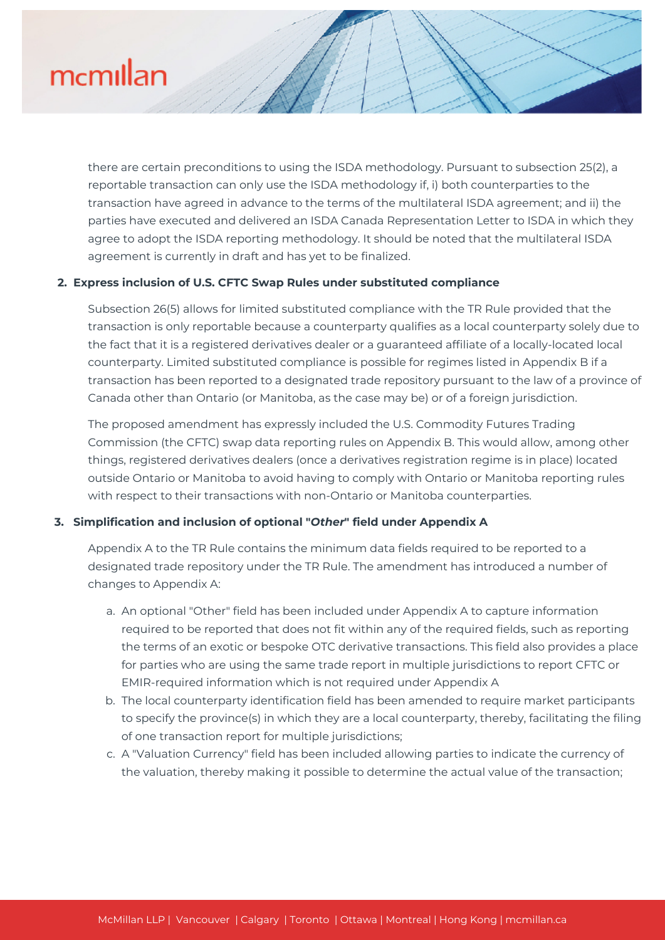there are certain preconditions to using the ISDA methodology. Pursuant to subsection 25(2), a reportable transaction can only use the ISDA methodology if, i) both counterparties to the transaction have agreed in advance to the terms of the multilateral ISDA agreement; and ii) the parties have executed and delivered an ISDA Canada Representation Letter to ISDA in which they agree to adopt the ISDA reporting methodology. It should be noted that the multilateral ISDA agreement is currently in draft and has yet to be finalized.

### **2. Express inclusion of U.S. CFTC Swap Rules under substituted compliance**

Subsection 26(5) allows for limited substituted compliance with the TR Rule provided that the transaction is only reportable because a counterparty qualifies as a local counterparty solely due to the fact that it is a registered derivatives dealer or a guaranteed affiliate of a locally-located local counterparty. Limited substituted compliance is possible for regimes listed in Appendix B if a transaction has been reported to a designated trade repository pursuant to the law of a province of Canada other than Ontario (or Manitoba, as the case may be) or of a foreign jurisdiction.

The proposed amendment has expressly included the U.S. Commodity Futures Trading Commission (the CFTC) swap data reporting rules on Appendix B. This would allow, among other things, registered derivatives dealers (once a derivatives registration regime is in place) located outside Ontario or Manitoba to avoid having to comply with Ontario or Manitoba reporting rules with respect to their transactions with non-Ontario or Manitoba counterparties.

### **3. Simplification and inclusion of optional "***Other***" field under Appendix A**

Appendix A to the TR Rule contains the minimum data fields required to be reported to a designated trade repository under the TR Rule. The amendment has introduced a number of changes to Appendix A:

- a. An optional "Other" field has been included under Appendix A to capture information required to be reported that does not fit within any of the required fields, such as reporting the terms of an exotic or bespoke OTC derivative transactions. This field also provides a place for parties who are using the same trade report in multiple jurisdictions to report CFTC or EMIR-required information which is not required under Appendix A
- b. The local counterparty identification field has been amended to require market participants to specify the province(s) in which they are a local counterparty, thereby, facilitating the filing of one transaction report for multiple jurisdictions;
- c. A "Valuation Currency" field has been included allowing parties to indicate the currency of the valuation, thereby making it possible to determine the actual value of the transaction;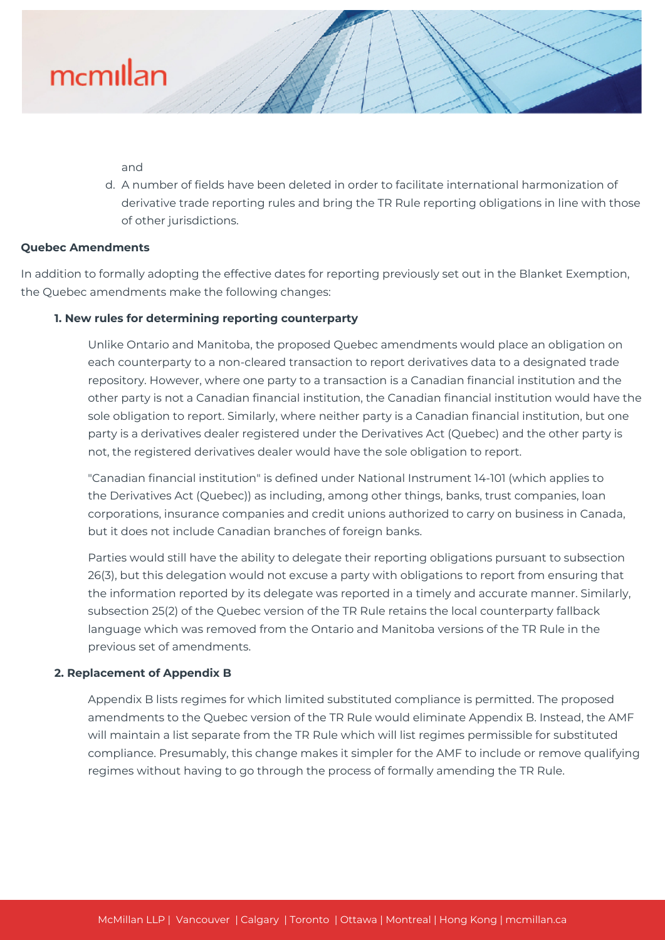and

d. A number of fields have been deleted in order to facilitate international harmonization of derivative trade reporting rules and bring the TR Rule reporting obligations in line with those of other jurisdictions.

### **Quebec Amendments**

In addition to formally adopting the effective dates for reporting previously set out in the Blanket Exemption, the Quebec amendments make the following changes:

### **1. New rules for determining reporting counterparty**

Unlike Ontario and Manitoba, the proposed Quebec amendments would place an obligation on each counterparty to a non-cleared transaction to report derivatives data to a designated trade repository. However, where one party to a transaction is a Canadian financial institution and the other party is not a Canadian financial institution, the Canadian financial institution would have the sole obligation to report. Similarly, where neither party is a Canadian financial institution, but one party is a derivatives dealer registered under the Derivatives Act (Quebec) and the other party is not, the registered derivatives dealer would have the sole obligation to report.

"Canadian financial institution" is defined under National Instrument 14-101 (which applies to the Derivatives Act (Quebec)) as including, among other things, banks, trust companies, loan corporations, insurance companies and credit unions authorized to carry on business in Canada, but it does not include Canadian branches of foreign banks.

Parties would still have the ability to delegate their reporting obligations pursuant to subsection 26(3), but this delegation would not excuse a party with obligations to report from ensuring that the information reported by its delegate was reported in a timely and accurate manner. Similarly, subsection 25(2) of the Quebec version of the TR Rule retains the local counterparty fallback language which was removed from the Ontario and Manitoba versions of the TR Rule in the previous set of amendments.

### **2. Replacement of Appendix B**

Appendix B lists regimes for which limited substituted compliance is permitted. The proposed amendments to the Quebec version of the TR Rule would eliminate Appendix B. Instead, the AMF will maintain a list separate from the TR Rule which will list regimes permissible for substituted compliance. Presumably, this change makes it simpler for the AMF to include or remove qualifying regimes without having to go through the process of formally amending the TR Rule.